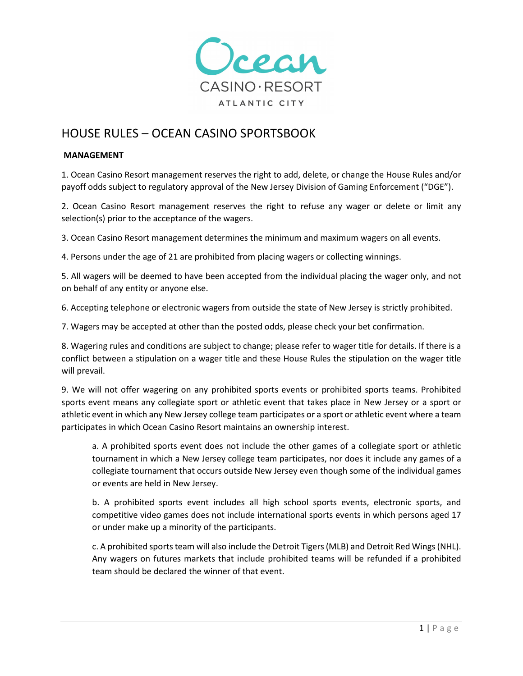

# HOUSE RULES – OCEAN CASINO SPORTSBOOK

### **MANAGEMENT**

1. Ocean Casino Resort management reserves the right to add, delete, or change the House Rules and/or payoff odds subject to regulatory approval of the New Jersey Division of Gaming Enforcement ("DGE").

2. Ocean Casino Resort management reserves the right to refuse any wager or delete or limit any selection(s) prior to the acceptance of the wagers.

3. Ocean Casino Resort management determines the minimum and maximum wagers on all events.

4. Persons under the age of 21 are prohibited from placing wagers or collecting winnings.

5. All wagers will be deemed to have been accepted from the individual placing the wager only, and not on behalf of any entity or anyone else.

6. Accepting telephone or electronic wagers from outside the state of New Jersey is strictly prohibited.

7. Wagers may be accepted at other than the posted odds, please check your bet confirmation.

8. Wagering rules and conditions are subject to change; please refer to wager title for details. If there is a conflict between a stipulation on a wager title and these House Rules the stipulation on the wager title will prevail.

9. We will not offer wagering on any prohibited sports events or prohibited sports teams. Prohibited sports event means any collegiate sport or athletic event that takes place in New Jersey or a sport or athletic event in which any New Jersey college team participates or a sport or athletic event where a team participates in which Ocean Casino Resort maintains an ownership interest.

a. A prohibited sports event does not include the other games of a collegiate sport or athletic tournament in which a New Jersey college team participates, nor does it include any games of a collegiate tournament that occurs outside New Jersey even though some of the individual games or events are held in New Jersey.

b. A prohibited sports event includes all high school sports events, electronic sports, and competitive video games does not include international sports events in which persons aged 17 or under make up a minority of the participants.

c. A prohibited sports team will also include the Detroit Tigers (MLB) and Detroit Red Wings (NHL). Any wagers on futures markets that include prohibited teams will be refunded if a prohibited team should be declared the winner of that event.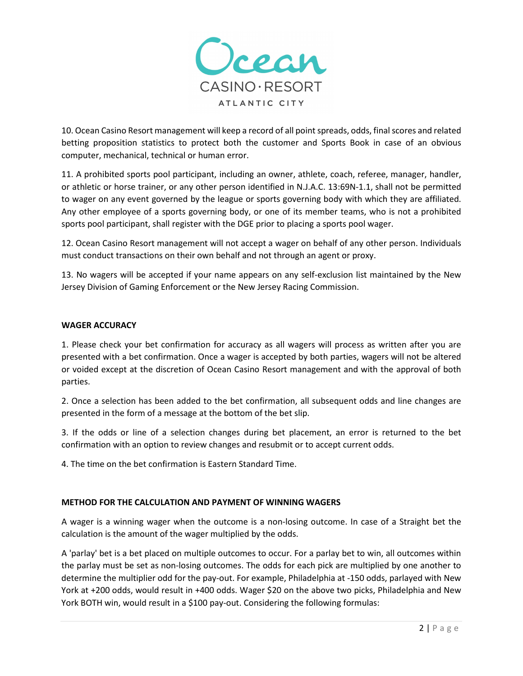

10. Ocean Casino Resort management will keep a record of all point spreads, odds, final scores and related betting proposition statistics to protect both the customer and Sports Book in case of an obvious computer, mechanical, technical or human error.

11. A prohibited sports pool participant, including an owner, athlete, coach, referee, manager, handler, or athletic or horse trainer, or any other person identified in N.J.A.C. 13:69N-1.1, shall not be permitted to wager on any event governed by the league or sports governing body with which they are affiliated. Any other employee of a sports governing body, or one of its member teams, who is not a prohibited sports pool participant, shall register with the DGE prior to placing a sports pool wager.

12. Ocean Casino Resort management will not accept a wager on behalf of any other person. Individuals must conduct transactions on their own behalf and not through an agent or proxy.

13. No wagers will be accepted if your name appears on any self-exclusion list maintained by the New Jersey Division of Gaming Enforcement or the New Jersey Racing Commission.

### **WAGER ACCURACY**

1. Please check your bet confirmation for accuracy as all wagers will process as written after you are presented with a bet confirmation. Once a wager is accepted by both parties, wagers will not be altered or voided except at the discretion of Ocean Casino Resort management and with the approval of both parties.

2. Once a selection has been added to the bet confirmation, all subsequent odds and line changes are presented in the form of a message at the bottom of the bet slip.

3. If the odds or line of a selection changes during bet placement, an error is returned to the bet confirmation with an option to review changes and resubmit or to accept current odds.

4. The time on the bet confirmation is Eastern Standard Time.

### **METHOD FOR THE CALCULATION AND PAYMENT OF WINNING WAGERS**

A wager is a winning wager when the outcome is a non-losing outcome. In case of a Straight bet the calculation is the amount of the wager multiplied by the odds.

A 'parlay' bet is a bet placed on multiple outcomes to occur. For a parlay bet to win, all outcomes within the parlay must be set as non-losing outcomes. The odds for each pick are multiplied by one another to determine the multiplier odd for the pay-out. For example, Philadelphia at -150 odds, parlayed with New York at +200 odds, would result in +400 odds. Wager \$20 on the above two picks, Philadelphia and New York BOTH win, would result in a \$100 pay-out. Considering the following formulas: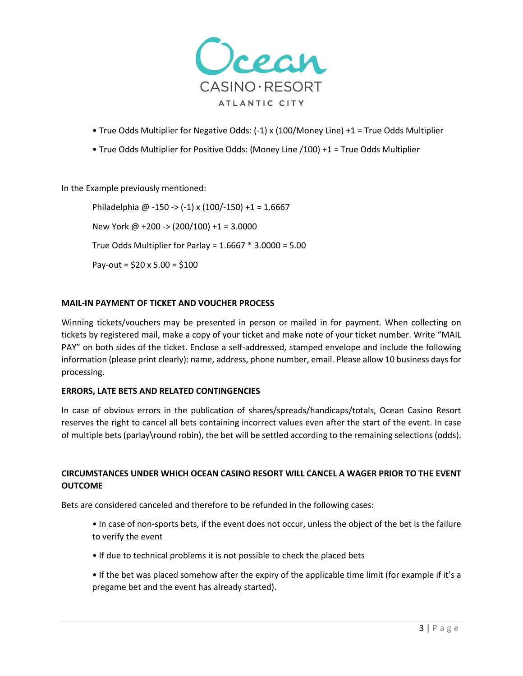

- True Odds Multiplier for Negative Odds: (-1) x (100/Money Line) +1 = True Odds Multiplier
- True Odds Multiplier for Positive Odds: (Money Line /100) +1 = True Odds Multiplier

In the Example previously mentioned:

Philadelphia @ -150 -> (-1) x (100/-150) +1 = 1.6667 New York @ +200 -> (200/100) +1 = 3.0000 True Odds Multiplier for Parlay = 1.6667 \* 3.0000 = 5.00 Pay-out =  $$20 \times 5.00 = $100$ 

# **MAIL-IN PAYMENT OF TICKET AND VOUCHER PROCESS**

Winning tickets/vouchers may be presented in person or mailed in for payment. When collecting on tickets by registered mail, make a copy of your ticket and make note of your ticket number. Write "MAIL PAY" on both sides of the ticket. Enclose a self-addressed, stamped envelope and include the following information (please print clearly): name, address, phone number, email. Please allow 10 business days for processing.

### **ERRORS, LATE BETS AND RELATED CONTINGENCIES**

In case of obvious errors in the publication of shares/spreads/handicaps/totals, Ocean Casino Resort reserves the right to cancel all bets containing incorrect values even after the start of the event. In case of multiple bets (parlay\round robin), the bet will be settled according to the remaining selections (odds).

# **CIRCUMSTANCES UNDER WHICH OCEAN CASINO RESORT WILL CANCEL A WAGER PRIOR TO THE EVENT OUTCOME**

Bets are considered canceled and therefore to be refunded in the following cases:

- In case of non-sports bets, if the event does not occur, unless the object of the bet is the failure to verify the event
- If due to technical problems it is not possible to check the placed bets
- If the bet was placed somehow after the expiry of the applicable time limit (for example if it's a pregame bet and the event has already started).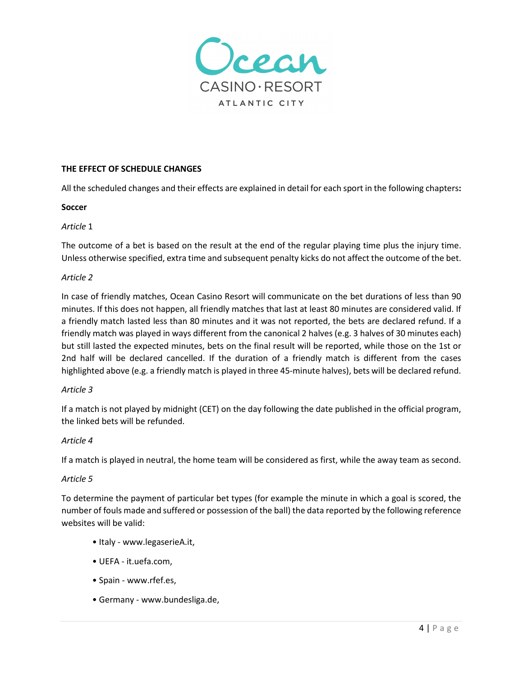

### **THE EFFECT OF SCHEDULE CHANGES**

All the scheduled changes and their effects are explained in detail for each sport in the following chapters**:** 

### **Soccer**

# *Article* 1

The outcome of a bet is based on the result at the end of the regular playing time plus the injury time. Unless otherwise specified, extra time and subsequent penalty kicks do not affect the outcome of the bet.

# *Article 2*

In case of friendly matches, Ocean Casino Resort will communicate on the bet durations of less than 90 minutes. If this does not happen, all friendly matches that last at least 80 minutes are considered valid. If a friendly match lasted less than 80 minutes and it was not reported, the bets are declared refund. If a friendly match was played in ways different from the canonical 2 halves (e.g. 3 halves of 30 minutes each) but still lasted the expected minutes, bets on the final result will be reported, while those on the 1st or 2nd half will be declared cancelled. If the duration of a friendly match is different from the cases highlighted above (e.g. a friendly match is played in three 45-minute halves), bets will be declared refund.

### *Article 3*

If a match is not played by midnight (CET) on the day following the date published in the official program, the linked bets will be refunded.

### *Article 4*

If a match is played in neutral, the home team will be considered as first, while the away team as second.

### *Article 5*

To determine the payment of particular bet types (for example the minute in which a goal is scored, the number of fouls made and suffered or possession of the ball) the data reported by the following reference websites will be valid:

- Italy www.legaserieA.it,
- UEFA it.uefa.com,
- Spain www.rfef.es,
- Germany www.bundesliga.de,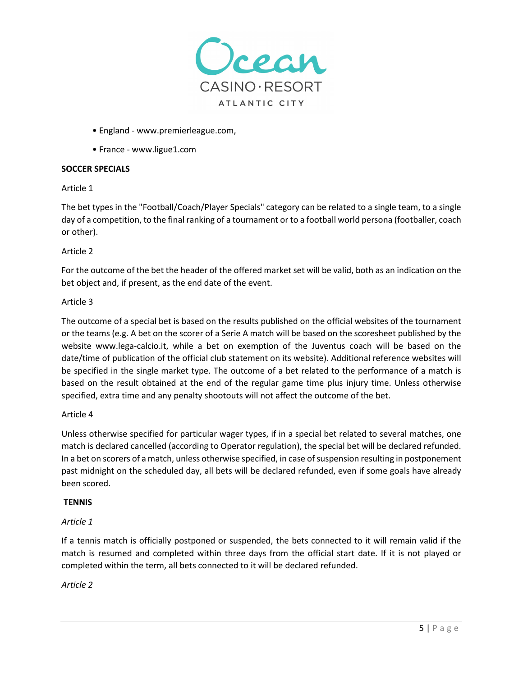

- England www.premierleague.com,
- France www.ligue1.com

# **SOCCER SPECIALS**

### Article 1

The bet types in the "Football/Coach/Player Specials" category can be related to a single team, to a single day of a competition, to the final ranking of a tournament or to a football world persona (footballer, coach or other).

# Article 2

For the outcome of the bet the header of the offered market set will be valid, both as an indication on the bet object and, if present, as the end date of the event.

# Article 3

The outcome of a special bet is based on the results published on the official websites of the tournament or the teams (e.g. A bet on the scorer of a Serie A match will be based on the scoresheet published by the website www.lega-calcio.it, while a bet on exemption of the Juventus coach will be based on the date/time of publication of the official club statement on its website). Additional reference websites will be specified in the single market type. The outcome of a bet related to the performance of a match is based on the result obtained at the end of the regular game time plus injury time. Unless otherwise specified, extra time and any penalty shootouts will not affect the outcome of the bet.

### Article 4

Unless otherwise specified for particular wager types, if in a special bet related to several matches, one match is declared cancelled (according to Operator regulation), the special bet will be declared refunded. In a bet on scorers of a match, unless otherwise specified, in case of suspension resulting in postponement past midnight on the scheduled day, all bets will be declared refunded, even if some goals have already been scored.

### **TENNIS**

# *Article 1*

If a tennis match is officially postponed or suspended, the bets connected to it will remain valid if the match is resumed and completed within three days from the official start date. If it is not played or completed within the term, all bets connected to it will be declared refunded.

# *Article 2*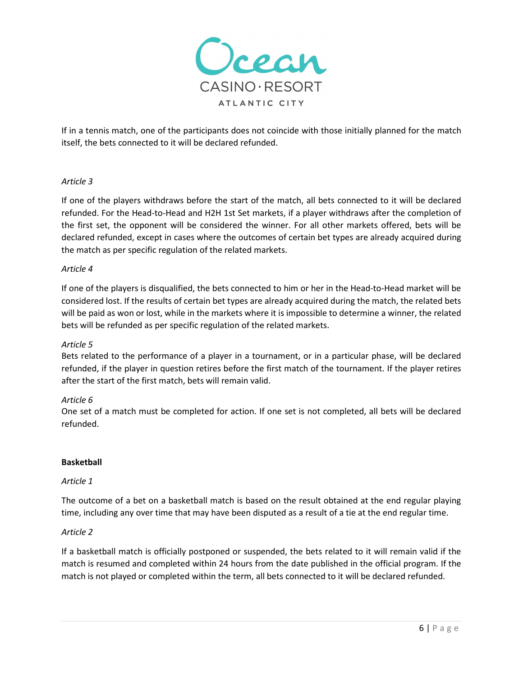

If in a tennis match, one of the participants does not coincide with those initially planned for the match itself, the bets connected to it will be declared refunded.

# *Article 3*

If one of the players withdraws before the start of the match, all bets connected to it will be declared refunded. For the Head-to-Head and H2H 1st Set markets, if a player withdraws after the completion of the first set, the opponent will be considered the winner. For all other markets offered, bets will be declared refunded, except in cases where the outcomes of certain bet types are already acquired during the match as per specific regulation of the related markets.

### *Article 4*

If one of the players is disqualified, the bets connected to him or her in the Head-to-Head market will be considered lost. If the results of certain bet types are already acquired during the match, the related bets will be paid as won or lost, while in the markets where it is impossible to determine a winner, the related bets will be refunded as per specific regulation of the related markets.

### *Article 5*

Bets related to the performance of a player in a tournament, or in a particular phase, will be declared refunded, if the player in question retires before the first match of the tournament. If the player retires after the start of the first match, bets will remain valid.

### *Article 6*

One set of a match must be completed for action. If one set is not completed, all bets will be declared refunded.

### **Basketball**

### *Article 1*

The outcome of a bet on a basketball match is based on the result obtained at the end regular playing time, including any over time that may have been disputed as a result of a tie at the end regular time.

### *Article 2*

If a basketball match is officially postponed or suspended, the bets related to it will remain valid if the match is resumed and completed within 24 hours from the date published in the official program. If the match is not played or completed within the term, all bets connected to it will be declared refunded.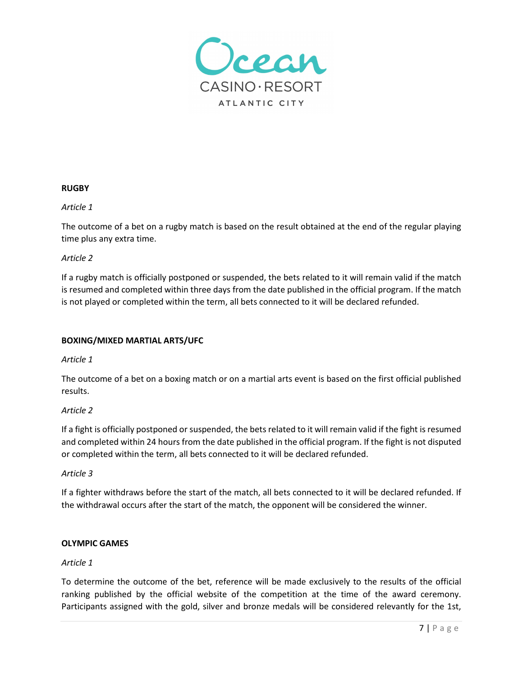

### **RUGBY**

#### *Article 1*

The outcome of a bet on a rugby match is based on the result obtained at the end of the regular playing time plus any extra time.

#### *Article 2*

If a rugby match is officially postponed or suspended, the bets related to it will remain valid if the match is resumed and completed within three days from the date published in the official program. If the match is not played or completed within the term, all bets connected to it will be declared refunded.

### **BOXING/MIXED MARTIAL ARTS/UFC**

#### *Article 1*

The outcome of a bet on a boxing match or on a martial arts event is based on the first official published results.

### *Article 2*

If a fight is officially postponed or suspended, the bets related to it will remain valid if the fight is resumed and completed within 24 hours from the date published in the official program. If the fight is not disputed or completed within the term, all bets connected to it will be declared refunded.

#### *Article 3*

If a fighter withdraws before the start of the match, all bets connected to it will be declared refunded. If the withdrawal occurs after the start of the match, the opponent will be considered the winner.

#### **OLYMPIC GAMES**

### *Article 1*

To determine the outcome of the bet, reference will be made exclusively to the results of the official ranking published by the official website of the competition at the time of the award ceremony. Participants assigned with the gold, silver and bronze medals will be considered relevantly for the 1st,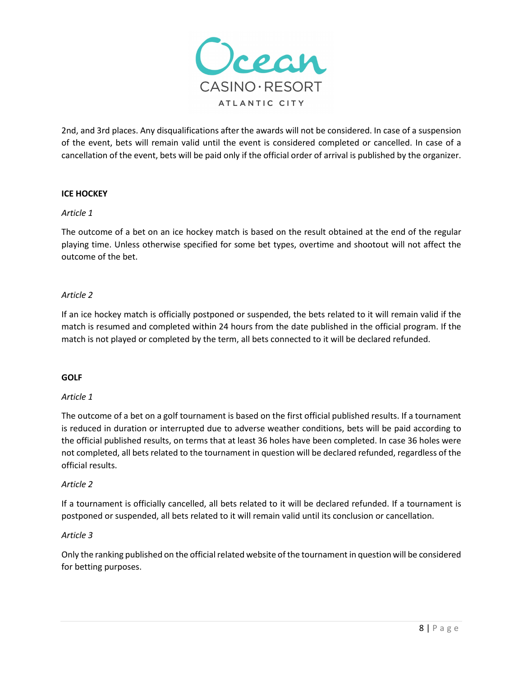

2nd, and 3rd places. Any disqualifications after the awards will not be considered. In case of a suspension of the event, bets will remain valid until the event is considered completed or cancelled. In case of a cancellation of the event, bets will be paid only if the official order of arrival is published by the organizer.

# **ICE HOCKEY**

### *Article 1*

The outcome of a bet on an ice hockey match is based on the result obtained at the end of the regular playing time. Unless otherwise specified for some bet types, overtime and shootout will not affect the outcome of the bet.

### *Article 2*

If an ice hockey match is officially postponed or suspended, the bets related to it will remain valid if the match is resumed and completed within 24 hours from the date published in the official program. If the match is not played or completed by the term, all bets connected to it will be declared refunded.

### **GOLF**

### *Article 1*

The outcome of a bet on a golf tournament is based on the first official published results. If a tournament is reduced in duration or interrupted due to adverse weather conditions, bets will be paid according to the official published results, on terms that at least 36 holes have been completed. In case 36 holes were not completed, all bets related to the tournament in question will be declared refunded, regardless of the official results.

#### *Article 2*

If a tournament is officially cancelled, all bets related to it will be declared refunded. If a tournament is postponed or suspended, all bets related to it will remain valid until its conclusion or cancellation.

### *Article 3*

Only the ranking published on the official related website of the tournament in question will be considered for betting purposes.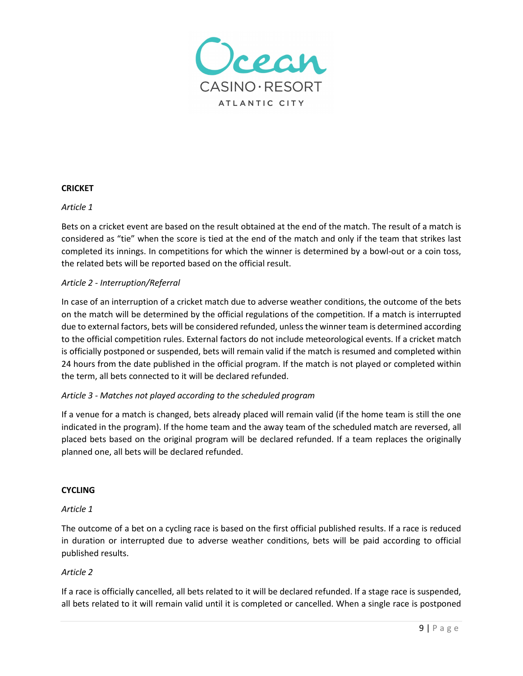

### **CRICKET**

#### *Article 1*

Bets on a cricket event are based on the result obtained at the end of the match. The result of a match is considered as "tie" when the score is tied at the end of the match and only if the team that strikes last completed its innings. In competitions for which the winner is determined by a bowl-out or a coin toss, the related bets will be reported based on the official result.

### *Article 2 - Interruption/Referral*

In case of an interruption of a cricket match due to adverse weather conditions, the outcome of the bets on the match will be determined by the official regulations of the competition. If a match is interrupted due to external factors, bets will be considered refunded, unless the winner team is determined according to the official competition rules. External factors do not include meteorological events. If a cricket match is officially postponed or suspended, bets will remain valid if the match is resumed and completed within 24 hours from the date published in the official program. If the match is not played or completed within the term, all bets connected to it will be declared refunded.

### *Article 3 - Matches not played according to the scheduled program*

If a venue for a match is changed, bets already placed will remain valid (if the home team is still the one indicated in the program). If the home team and the away team of the scheduled match are reversed, all placed bets based on the original program will be declared refunded. If a team replaces the originally planned one, all bets will be declared refunded.

#### **CYCLING**

#### *Article 1*

The outcome of a bet on a cycling race is based on the first official published results. If a race is reduced in duration or interrupted due to adverse weather conditions, bets will be paid according to official published results.

### *Article 2*

If a race is officially cancelled, all bets related to it will be declared refunded. If a stage race is suspended, all bets related to it will remain valid until it is completed or cancelled. When a single race is postponed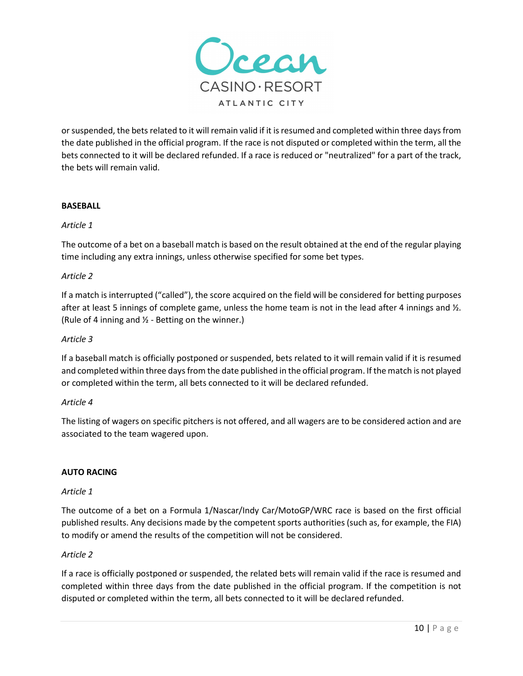

or suspended, the bets related to it will remain valid if it is resumed and completed within three days from the date published in the official program. If the race is not disputed or completed within the term, all the bets connected to it will be declared refunded. If a race is reduced or "neutralized" for a part of the track, the bets will remain valid.

# **BASEBALL**

# *Article 1*

The outcome of a bet on a baseball match is based on the result obtained at the end of the regular playing time including any extra innings, unless otherwise specified for some bet types.

# *Article 2*

If a match is interrupted ("called"), the score acquired on the field will be considered for betting purposes after at least 5 innings of complete game, unless the home team is not in the lead after 4 innings and  $\frac{1}{2}$ . (Rule of 4 inning and  $\frac{1}{2}$  - Betting on the winner.)

### *Article 3*

If a baseball match is officially postponed or suspended, bets related to it will remain valid if it is resumed and completed within three days from the date published in the official program. If the match is not played or completed within the term, all bets connected to it will be declared refunded.

### *Article 4*

The listing of wagers on specific pitchers is not offered, and all wagers are to be considered action and are associated to the team wagered upon.

### **AUTO RACING**

### *Article 1*

The outcome of a bet on a Formula 1/Nascar/Indy Car/MotoGP/WRC race is based on the first official published results. Any decisions made by the competent sports authorities (such as, for example, the FIA) to modify or amend the results of the competition will not be considered.

### *Article 2*

If a race is officially postponed or suspended, the related bets will remain valid if the race is resumed and completed within three days from the date published in the official program. If the competition is not disputed or completed within the term, all bets connected to it will be declared refunded.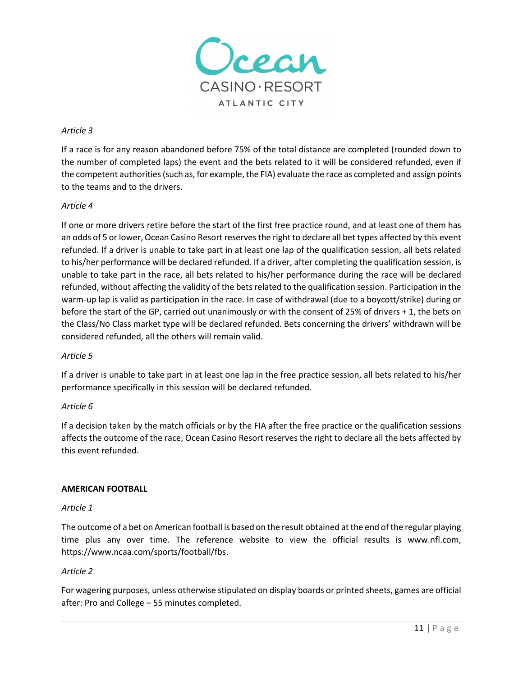

# *Article 3*

If a race is for any reason abandoned before 75% of the total distance are completed (rounded down to the number of completed laps) the event and the bets related to it will be considered refunded, even if the competent authorities (such as, for example, the FIA) evaluate the race as completed and assign points to the teams and to the drivers.

# *Article 4*

If one or more drivers retire before the start of the first free practice round, and at least one of them has an odds of 5 or lower, Ocean Casino Resort reserves the right to declare all bet types affected by this event refunded. If a driver is unable to take part in at least one lap of the qualification session, all bets related to his/her performance will be declared refunded. If a driver, after completing the qualification session, is unable to take part in the race, all bets related to his/her performance during the race will be declared refunded, without affecting the validity of the bets related to the qualification session. Participation in the warm-up lap is valid as participation in the race. In case of withdrawal (due to a boycott/strike) during or before the start of the GP, carried out unanimously or with the consent of 25% of drivers + 1, the bets on the Class/No Class market type will be declared refunded. Bets concerning the drivers' withdrawn will be considered refunded, all the others will remain valid.

### *Article 5*

If a driver is unable to take part in at least one lap in the free practice session, all bets related to his/her performance specifically in this session will be declared refunded.

# *Article 6*

If a decision taken by the match officials or by the FIA after the free practice or the qualification sessions affects the outcome of the race, Ocean Casino Resort reserves the right to declare all the bets affected by this event refunded.

### **AMERICAN FOOTBALL**

### *Article 1*

The outcome of a bet on American football is based on the result obtained at the end of the regular playing time plus any over time. The reference website to view the official results is www.nfl.com, https://www.ncaa.com/sports/football/fbs.

### *Article 2*

For wagering purposes, unless otherwise stipulated on display boards or printed sheets, games are official after: Pro and College – 55 minutes completed.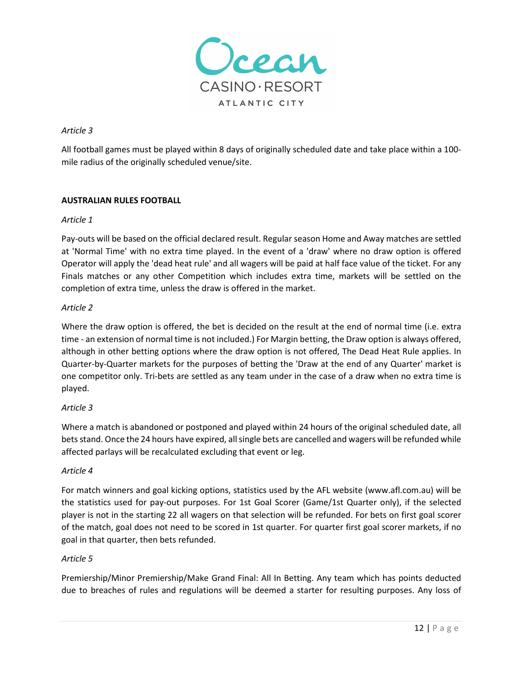

### *Article 3*

All football games must be played within 8 days of originally scheduled date and take place within a 100 mile radius of the originally scheduled venue/site.

# **AUSTRALIAN RULES FOOTBALL**

### *Article 1*

Pay-outs will be based on the official declared result. Regular season Home and Away matches are settled at 'Normal Time' with no extra time played. In the event of a 'draw' where no draw option is offered Operator will apply the 'dead heat rule' and all wagers will be paid at half face value of the ticket. For any Finals matches or any other Competition which includes extra time, markets will be settled on the completion of extra time, unless the draw is offered in the market.

# *Article 2*

Where the draw option is offered, the bet is decided on the result at the end of normal time (i.e. extra time - an extension of normal time is not included.) For Margin betting, the Draw option is always offered, although in other betting options where the draw option is not offered, The Dead Heat Rule applies. In Quarter-by-Quarter markets for the purposes of betting the 'Draw at the end of any Quarter' market is one competitor only. Tri-bets are settled as any team under in the case of a draw when no extra time is played.

# *Article 3*

Where a match is abandoned or postponed and played within 24 hours of the original scheduled date, all bets stand. Once the 24 hours have expired, all single bets are cancelled and wagers will be refunded while affected parlays will be recalculated excluding that event or leg.

### *Article 4*

For match winners and goal kicking options, statistics used by the AFL website (www.afl.com.au) will be the statistics used for pay-out purposes. For 1st Goal Scorer (Game/1st Quarter only), if the selected player is not in the starting 22 all wagers on that selection will be refunded. For bets on first goal scorer of the match, goal does not need to be scored in 1st quarter. For quarter first goal scorer markets, if no goal in that quarter, then bets refunded.

### *Article 5*

Premiership/Minor Premiership/Make Grand Final: All In Betting. Any team which has points deducted due to breaches of rules and regulations will be deemed a starter for resulting purposes. Any loss of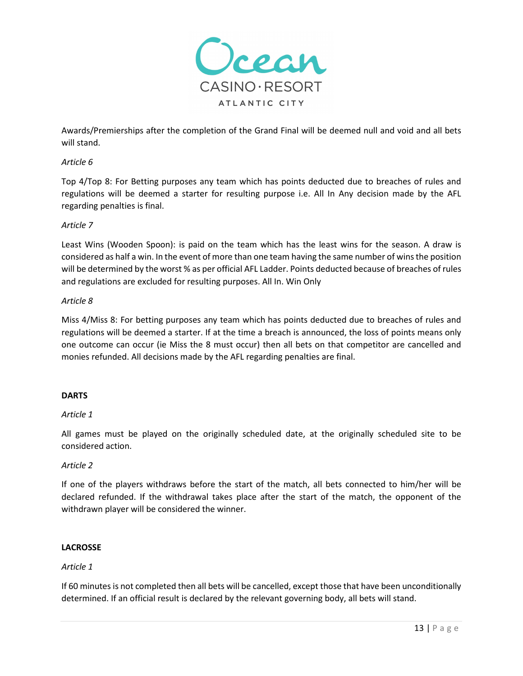

Awards/Premierships after the completion of the Grand Final will be deemed null and void and all bets will stand.

### *Article 6*

Top 4/Top 8: For Betting purposes any team which has points deducted due to breaches of rules and regulations will be deemed a starter for resulting purpose i.e. All In Any decision made by the AFL regarding penalties is final.

# *Article 7*

Least Wins (Wooden Spoon): is paid on the team which has the least wins for the season. A draw is considered as half a win. In the event of more than one team having the same number of wins the position will be determined by the worst % as per official AFL Ladder. Points deducted because of breaches of rules and regulations are excluded for resulting purposes. All In. Win Only

# *Article 8*

Miss 4/Miss 8: For betting purposes any team which has points deducted due to breaches of rules and regulations will be deemed a starter. If at the time a breach is announced, the loss of points means only one outcome can occur (ie Miss the 8 must occur) then all bets on that competitor are cancelled and monies refunded. All decisions made by the AFL regarding penalties are final.

### **DARTS**

### *Article 1*

All games must be played on the originally scheduled date, at the originally scheduled site to be considered action.

### *Article 2*

If one of the players withdraws before the start of the match, all bets connected to him/her will be declared refunded. If the withdrawal takes place after the start of the match, the opponent of the withdrawn player will be considered the winner.

### **LACROSSE**

### *Article 1*

If 60 minutes is not completed then all bets will be cancelled, except those that have been unconditionally determined. If an official result is declared by the relevant governing body, all bets will stand.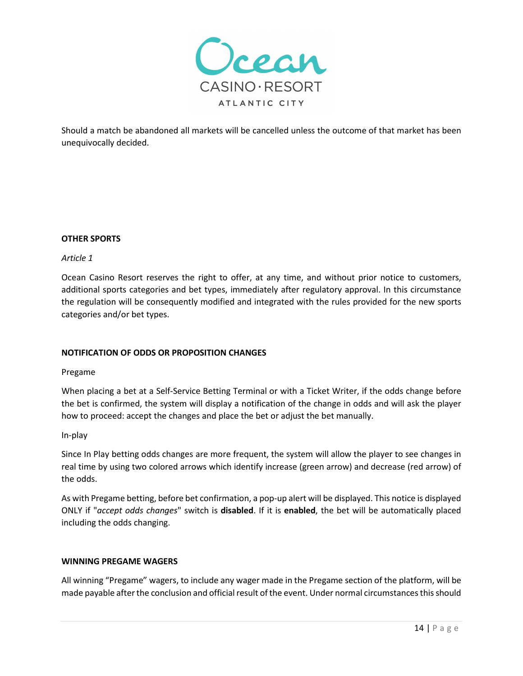

Should a match be abandoned all markets will be cancelled unless the outcome of that market has been unequivocally decided.

### **OTHER SPORTS**

### *Article 1*

Ocean Casino Resort reserves the right to offer, at any time, and without prior notice to customers, additional sports categories and bet types, immediately after regulatory approval. In this circumstance the regulation will be consequently modified and integrated with the rules provided for the new sports categories and/or bet types.

### **NOTIFICATION OF ODDS OR PROPOSITION CHANGES**

#### Pregame

When placing a bet at a Self-Service Betting Terminal or with a Ticket Writer, if the odds change before the bet is confirmed, the system will display a notification of the change in odds and will ask the player how to proceed: accept the changes and place the bet or adjust the bet manually.

#### In-play

Since In Play betting odds changes are more frequent, the system will allow the player to see changes in real time by using two colored arrows which identify increase (green arrow) and decrease (red arrow) of the odds.

As with Pregame betting, before bet confirmation, a pop-up alert will be displayed. This notice is displayed ONLY if "*accept odds changes*" switch is **disabled**. If it is **enabled**, the bet will be automatically placed including the odds changing.

### **WINNING PREGAME WAGERS**

All winning "Pregame" wagers, to include any wager made in the Pregame section of the platform, will be made payable after the conclusion and official result of the event. Under normal circumstances this should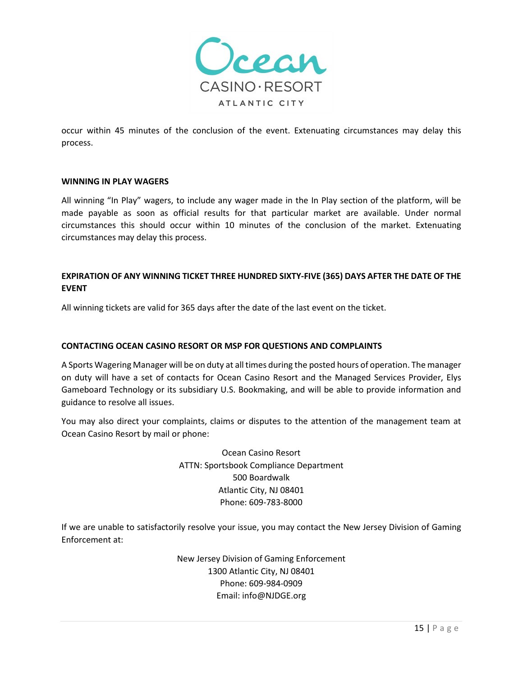

occur within 45 minutes of the conclusion of the event. Extenuating circumstances may delay this process. 

#### **WINNING IN PLAY WAGERS**

All winning "In Play" wagers, to include any wager made in the In Play section of the platform, will be made payable as soon as official results for that particular market are available. Under normal circumstances this should occur within 10 minutes of the conclusion of the market. Extenuating circumstances may delay this process. 

# **EXPIRATION OF ANY WINNING TICKET THREE HUNDRED SIXTY-FIVE (365) DAYS AFTER THE DATE OF THE EVENT**

All winning tickets are valid for 365 days after the date of the last event on the ticket.

### **CONTACTING OCEAN CASINO RESORT OR MSP FOR QUESTIONS AND COMPLAINTS**

A Sports Wagering Manager will be on duty at all times during the posted hours of operation. The manager on duty will have a set of contacts for Ocean Casino Resort and the Managed Services Provider, Elys Gameboard Technology or its subsidiary U.S. Bookmaking, and will be able to provide information and guidance to resolve all issues.

You may also direct your complaints, claims or disputes to the attention of the management team at Ocean Casino Resort by mail or phone:

> Ocean Casino Resort ATTN: Sportsbook Compliance Department 500 Boardwalk Atlantic City, NJ 08401 Phone: 609-783-8000

If we are unable to satisfactorily resolve your issue, you may contact the New Jersey Division of Gaming Enforcement at:

> New Jersey Division of Gaming Enforcement 1300 Atlantic City, NJ 08401 Phone: 609-984-0909 Email: info@NJDGE.org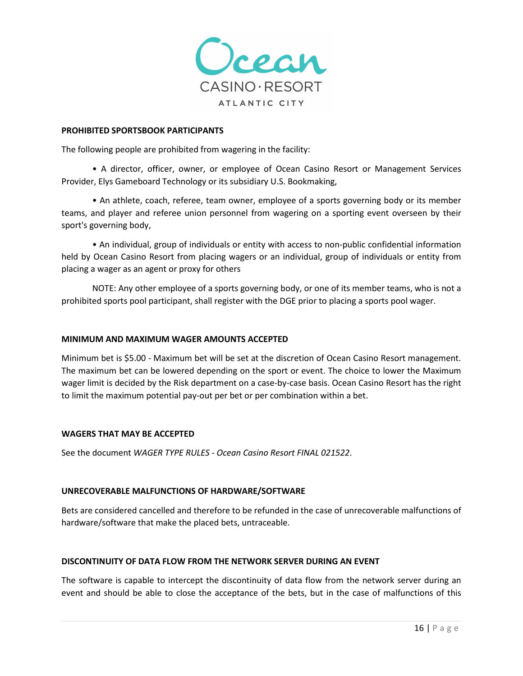

#### **PROHIBITED SPORTSBOOK PARTICIPANTS**

The following people are prohibited from wagering in the facility:

• A director, officer, owner, or employee of Ocean Casino Resort or Management Services Provider, Elys Gameboard Technology or its subsidiary U.S. Bookmaking,

• An athlete, coach, referee, team owner, employee of a sports governing body or its member teams, and player and referee union personnel from wagering on a sporting event overseen by their sport's governing body,

• An individual, group of individuals or entity with access to non-public confidential information held by Ocean Casino Resort from placing wagers or an individual, group of individuals or entity from placing a wager as an agent or proxy for others

NOTE: Any other employee of a sports governing body, or one of its member teams, who is not a prohibited sports pool participant, shall register with the DGE prior to placing a sports pool wager.

### **MINIMUM AND MAXIMUM WAGER AMOUNTS ACCEPTED**

Minimum bet is \$5.00 - Maximum bet will be set at the discretion of Ocean Casino Resort management. The maximum bet can be lowered depending on the sport or event. The choice to lower the Maximum wager limit is decided by the Risk department on a case-by-case basis. Ocean Casino Resort has the right to limit the maximum potential pay-out per bet or per combination within a bet.

#### **WAGERS THAT MAY BE ACCEPTED**

See the document *WAGER TYPE RULES - Ocean Casino Resort FINAL 021522*.

#### **UNRECOVERABLE MALFUNCTIONS OF HARDWARE/SOFTWARE**

Bets are considered cancelled and therefore to be refunded in the case of unrecoverable malfunctions of hardware/software that make the placed bets, untraceable.

### **DISCONTINUITY OF DATA FLOW FROM THE NETWORK SERVER DURING AN EVENT**

The software is capable to intercept the discontinuity of data flow from the network server during an event and should be able to close the acceptance of the bets, but in the case of malfunctions of this